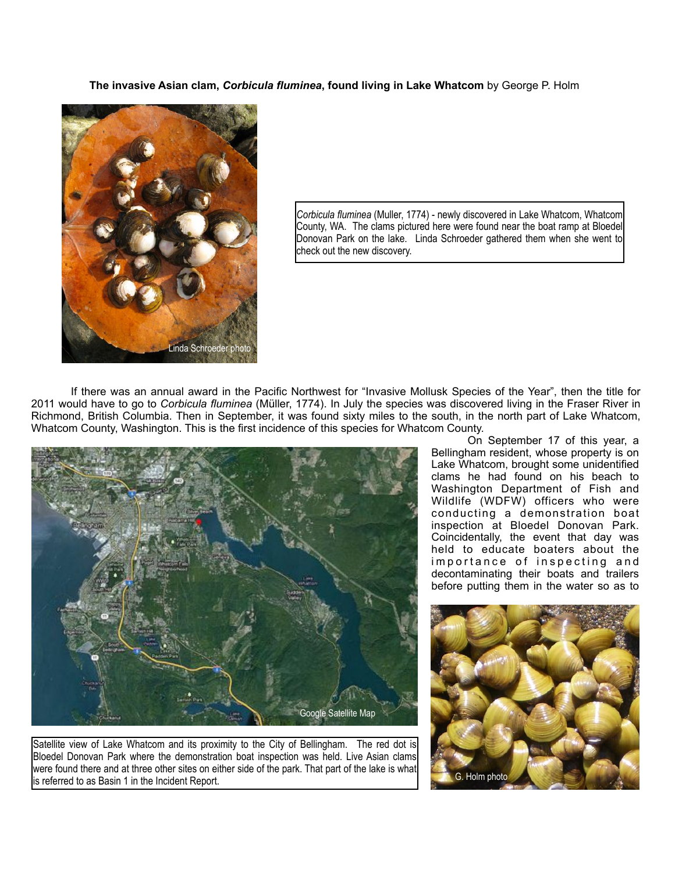**The invasive Asian clam,** *Corbicula fluminea***, found living in Lake Whatcom** by George P. Holm



*Corbicula fluminea* (Muller, 1774) - newly discovered in Lake Whatcom, Whatcom County, WA. The clams pictured here were found near the boat ramp at Bloedel Donovan Park on the lake. Linda Schroeder gathered them when she went to check out the new discovery.

If there was an annual award in the Pacific Northwest for "Invasive Mollusk Species of the Year", then the title for 2011 would have to go to *Corbicula fluminea* (Müller, 1774). In July the species was discovered living in the Fraser River in Richmond, British Columbia. Then in September, it was found sixty miles to the south, in the north part of Lake Whatcom, Whatcom County, Washington. This is the first incidence of this species for Whatcom County.



Satellite view of Lake Whatcom and its proximity to the City of Bellingham. The red dot is Bloedel Donovan Park where the demonstration boat inspection was held. Live Asian clams were found there and at three other sites on either side of the park. That part of the lake is what is referred to as Basin 1 in the Incident Report.

 On September 17 of this year, a Bellingham resident, whose property is on Lake Whatcom, brought some unidentified clams he had found on his beach to Washington Department of Fish and Wildlife (WDFW) officers who were conducting a demonstration boat inspection at Bloedel Donovan Park. Coincidentally, the event that day was held to educate boaters about the importance of inspecting and decontaminating their boats and trailers before putting them in the water so as to